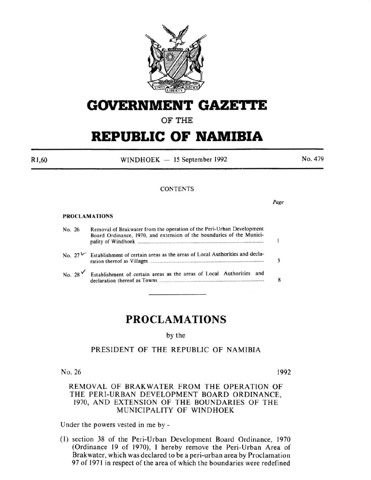

# **GOVERNMENT GAZETTE**

# **OF THE**

# **REPUBLIC OF NAMIBIA**

R1 ,60

 $WINDHOEK - 15$  September 1992

No. 479

#### **CONTENTS**

*Page* 

#### PROCLAMATIONS

| No. 26 |               | Removal of Brakwater from the operation of the Peri-Urban Development<br>Board Ordinance, 1970, and extension of the boundaries of the Munici- |  |
|--------|---------------|------------------------------------------------------------------------------------------------------------------------------------------------|--|
|        |               | No. $27^{\frac{1}{2}}$ Establishment of certain areas as the areas of Local Authorities and decla-                                             |  |
|        | No. 28 $\vee$ | Establishment of certain areas as the areas of Local Authorities and                                                                           |  |

# **PROCLAMATIONS**

by the

# PRESIDENT OF THE REPUBLIC OF NAMIBIA

No. 26 1992

# REMOVAL OF BRAK WATER FROM THE OPERATION OF THE PERI-URBAN DEVELOPMENT BOARD ORDINANCE, 1970, AND EXTENSION OF THE BOUNDARIES OF THE MUNICIPALITY" OF WINDHOEK

Under the powers vested in me by -

( l) section 38 of the Peri-Urban Development Board Ordinance, 1970 (Ordinance 19 of 1970), I hereby remove the Peri-Urban Area of Brakwater, which was declared to be a peri-urban area by Proclamation 97 of 1971 in respect of the area of which the boundaries were redefined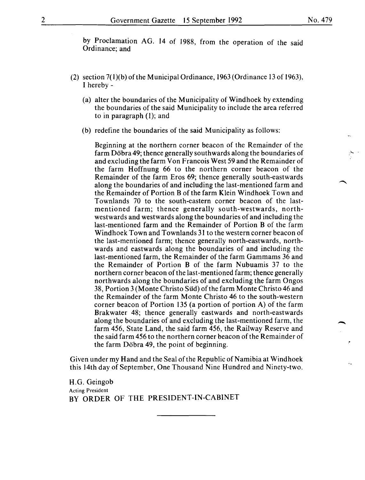by Proclamation AG. 14 of 1988, from the operation of the said Ordinance; and

- (2) section  $7(1)(b)$  of the Municipal Ordinance, 1963 (Ordinance 13 of 1963), I hereby-
	- (a) alter the boundaries of the Municipality of Windhoek by extending the boundaries of the said Municipality to include the area referred to in paragraph (1); and
	- (b) redefine the boundaries of the said Municipality as follows:

Beginning at the northern corner beacon of the Remainder of the farm Dobra 49; thence generally southwards along the boundaries of and excluding the farm Von Francois West 59 and the Remainder of the farm Hoffnung 66 to the northern corner beacon of the Remainder of the farm Eros 69; thence generally south-eastwards along the boundaries of and including the last-mentioned farm and the Remainder of Portion B of the farm Klein Windhoek Town and Townlands 70 to the south-eastern corner beacon of the lastmentioned farm; thence generally south-westwards, northwestwards and westwards along the boundaries of and including the last-mentioned farm and the Remainder of Portion B of the farm Windhoek Town and Townlands 31 to the western corner beacon of the last-mentioned farm; thence generally north-eastwards, northwards and eastwards along the boundaries of and including the last-mentioned farm, the Remainder of the farm Gammams 36 and the Remainder of Portion B of the farm Nubuamis 37 to the northern corner beacon of the last-mentioned farm; thence generally northwards along the boundaries of and excluding the farm Ongos 38, Portion 3 (Monte Christo Siid) of the farm Monte Christo 46 and the Remainder of the farm Monte Christo 46 to the south-western corner beacon of Portion 135 (a portion of portion A) of the farm Brakwater 48; thence generally eastwards and north-eastwards along the boundaries of and excluding the last-mentioned farm, the farm 456, State Land, the said farm 456, the Railway Reserve and the said farm 456 to the northern corner beacon of the Remainder of the farm Döbra 49, the point of beginning.

Given under my Hand and the Seal of the Republic of Namibia at Windhoek this 14th day of September, One Thousand Nine Hundred and Ninety-two.

H.G. Geingob Acting President BY ORDER OF THE PRESIDENT-IN-CABINET -<br>-<br>-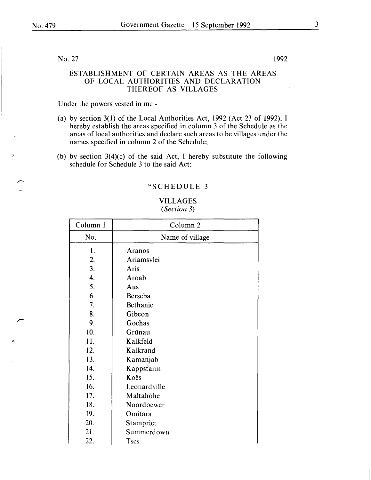No. 27 1992

## ESTABLISHMENT OF CERTAIN AREAS AS THE AREAS OF LOCAL AUTHORITIES AND DECLARATION THEREOF AS VILLAGES

Under the powers vested in me -

- (a) by section 3(1) of the Local Authorities Act, 1992 (Act 23 of 1992), I hereby establish the areas specified in column 3 of the Schedule as the areas of local authorities and declare such areas to be villages under the names specified in column 2 of the Schedule;
- (b) by section  $3(4)(c)$  of the said Act, I hereby substitute the following schedule for Schedule 3 to the said Act:

#### "SCHEDULE 3

## VILLAGES *(Section 3)*

| Column 1 | Column <sub>2</sub> |
|----------|---------------------|
| No.      | Name of village     |
| 1.       | <b>Aranos</b>       |
| 2.       | Ariamsvlei          |
| 3.       | Aris                |
| 4.       | Aroab               |
| 5.       | Aus                 |
| 6.       | Berseba             |
| 7.       | Bethanie            |
| 8.       | Gibeon              |
| 9.       | Gochas              |
| 10.      | Grünau              |
| 11.      | Kalkfeld            |
| 12.      | Kalkrand            |
| 13.      | Kamanjab            |
| 14.      | Kappsfarm           |
| 15.      | Koës                |
| 16.      | Leonardville        |
| 17.      | Maltahöhe           |
| 18.      | Noordoewer          |
| 19.      | Omitara             |
| 20.      | Stampriet           |
| 21.      | Summerdown          |
| 22.      | <b>Tses</b>         |

3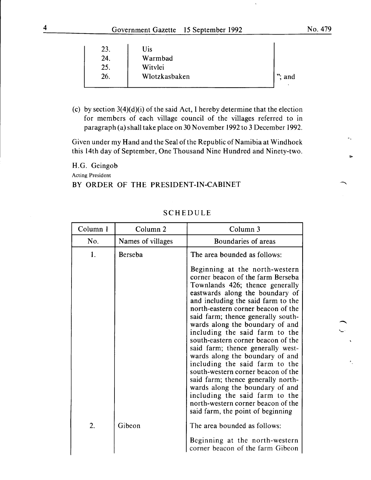-

| 23. | Uis           |           |
|-----|---------------|-----------|
| 24. | Warmbad       |           |
| 25. | Witylei       |           |
| 26. | Wlotzkasbaken | $"$ ; and |
|     |               |           |

(c) by section  $3(4)(d)(i)$  of the said Act, I hereby determine that the election for members of each village council of the villages referred to in paragraph (a) shall take place on 30 November 1992 to 3 December 1992.

Given under my Hand and the Seal of the Republic of Namibia at Windhoek this 14th day of September, One Thousand Nine Hundred and Ninety-two.

H.G. Geingob Acting President

#### BY ORDER OF THE PRESIDENT-IN-CABINET

| Column 1 | Column <sub>2</sub> | Column 3                                                                                                                                                                                                                                                                                                                                                                                                                                                                                                         |
|----------|---------------------|------------------------------------------------------------------------------------------------------------------------------------------------------------------------------------------------------------------------------------------------------------------------------------------------------------------------------------------------------------------------------------------------------------------------------------------------------------------------------------------------------------------|
| No.      | Names of villages   | Boundaries of areas                                                                                                                                                                                                                                                                                                                                                                                                                                                                                              |
| 1.       | Berseba             | The area bounded as follows:<br>Beginning at the north-western<br>corner beacon of the farm Berseba<br>Townlands 426; thence generally<br>eastwards along the boundary of<br>and including the said farm to the<br>north-eastern corner beacon of the<br>said farm; thence generally south-<br>wards along the boundary of and<br>including the said farm to the<br>south-eastern corner beacon of the<br>said farm; thence generally west-<br>wards along the boundary of and<br>including the said farm to the |
| 2.       | Gibeon              | south-western corner beacon of the<br>said farm; thence generally north-<br>wards along the boundary of and<br>including the said farm to the<br>north-western corner beacon of the<br>said farm, the point of beginning<br>The area bounded as follows:<br>Beginning at the north-western<br>corner beacon of the farm Gibeon                                                                                                                                                                                   |

## SCHEDULE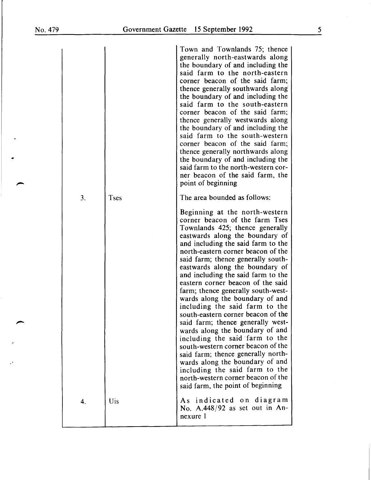$\bullet$ 

|    |             | Town and Townlands 75; thence<br>generally north-eastwards along<br>the boundary of and including the<br>said farm to the north-eastern<br>corner beacon of the said farm;<br>thence generally southwards along<br>the boundary of and including the<br>said farm to the south-eastern<br>corner beacon of the said farm;<br>thence generally westwards along<br>the boundary of and including the<br>said farm to the south-western<br>corner beacon of the said farm;<br>thence generally northwards along<br>the boundary of and including the<br>said farm to the north-western cor-<br>ner beacon of the said farm, the<br>point of beginning                                                                                                                                                                                                            |
|----|-------------|---------------------------------------------------------------------------------------------------------------------------------------------------------------------------------------------------------------------------------------------------------------------------------------------------------------------------------------------------------------------------------------------------------------------------------------------------------------------------------------------------------------------------------------------------------------------------------------------------------------------------------------------------------------------------------------------------------------------------------------------------------------------------------------------------------------------------------------------------------------|
| 3. | <b>Tses</b> | The area bounded as follows:                                                                                                                                                                                                                                                                                                                                                                                                                                                                                                                                                                                                                                                                                                                                                                                                                                  |
|    |             | Beginning at the north-western<br>corner beacon of the farm Tses<br>Townlands 425; thence generally<br>eastwards along the boundary of<br>and including the said farm to the<br>north-eastern corner beacon of the<br>said farm; thence generally south-<br>eastwards along the boundary of<br>and including the said farm to the<br>eastern corner beacon of the said<br>farm; thence generally south-west-<br>wards along the boundary of and<br>including the said farm to the<br>south-eastern corner beacon of the<br>said farm; thence generally west-<br>wards along the boundary of and<br>including the said farm to the<br>south-western corner beacon of the<br>said farm; thence generally north-<br>wards along the boundary of and<br>including the said farm to the<br>north-western corner beacon of the<br>said farm, the point of beginning |
| 4. | Uis         | As indicated on diagram<br>No. $A.448/92$ as set out in An-<br>nexure 1                                                                                                                                                                                                                                                                                                                                                                                                                                                                                                                                                                                                                                                                                                                                                                                       |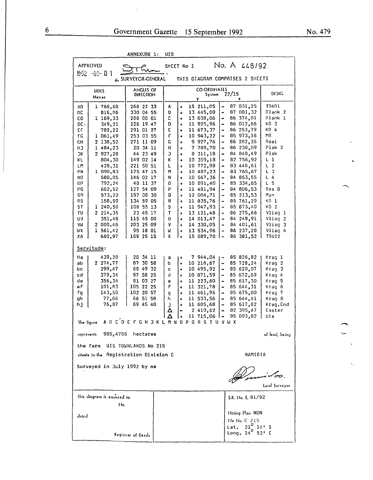| <b>ANULAURE</b><br>. .<br>ບ⊥ລ                                                                                                                                                                                                                                                                                                                                                                        |                                                                                                                                                                                                                                                                                                    |                                                                                                                                                                  |                                                                                                                                                                                                                             |                                                                                                                                                                                                                                                                                                     |                                                                                                                                                                                                                                                                                                                                                                           |                                                                                                                                                                                                                                                                                                            |                                                                                                                                                                                                                       |  |
|------------------------------------------------------------------------------------------------------------------------------------------------------------------------------------------------------------------------------------------------------------------------------------------------------------------------------------------------------------------------------------------------------|----------------------------------------------------------------------------------------------------------------------------------------------------------------------------------------------------------------------------------------------------------------------------------------------------|------------------------------------------------------------------------------------------------------------------------------------------------------------------|-----------------------------------------------------------------------------------------------------------------------------------------------------------------------------------------------------------------------------|-----------------------------------------------------------------------------------------------------------------------------------------------------------------------------------------------------------------------------------------------------------------------------------------------------|---------------------------------------------------------------------------------------------------------------------------------------------------------------------------------------------------------------------------------------------------------------------------------------------------------------------------------------------------------------------------|------------------------------------------------------------------------------------------------------------------------------------------------------------------------------------------------------------------------------------------------------------------------------------------------------------|-----------------------------------------------------------------------------------------------------------------------------------------------------------------------------------------------------------------------|--|
| <b>APPROVID</b>                                                                                                                                                                                                                                                                                                                                                                                      |                                                                                                                                                                                                                                                                                                    | No. A 448/92<br>SHEET No 1                                                                                                                                       |                                                                                                                                                                                                                             |                                                                                                                                                                                                                                                                                                     |                                                                                                                                                                                                                                                                                                                                                                           |                                                                                                                                                                                                                                                                                                            |                                                                                                                                                                                                                       |  |
| $1992 - 99 - 0$                                                                                                                                                                                                                                                                                                                                                                                      | C SURVEYOR-GENERAL                                                                                                                                                                                                                                                                                 |                                                                                                                                                                  |                                                                                                                                                                                                                             |                                                                                                                                                                                                                                                                                                     |                                                                                                                                                                                                                                                                                                                                                                           | THIS DIAGRAM COMPRISES 2 SHEETS                                                                                                                                                                                                                                                                            |                                                                                                                                                                                                                       |  |
| <b>SIDES</b><br>Melres                                                                                                                                                                                                                                                                                                                                                                               |                                                                                                                                                                                                                                                                                                    | <b>CO-ORDINATES</b><br>DESIG.<br>22/15<br>System<br>Υ<br>×                                                                                                       |                                                                                                                                                                                                                             |                                                                                                                                                                                                                                                                                                     |                                                                                                                                                                                                                                                                                                                                                                           |                                                                                                                                                                                                                                                                                                            |                                                                                                                                                                                                                       |  |
| 1 766,68<br>Λß<br>816,06<br>nс<br>1 169,33<br>cо<br>349,21<br>DE.<br>ЕF<br>782,22<br>1 061,49<br>FG<br>2 138,52<br>GН<br>1 484,23<br>нJ<br>JК<br>2 927,28<br>804,30<br>KL<br>428,31<br>ιm<br>1 090,83<br>MN<br>580,05<br>NO<br>792,24<br>ΟP<br>PQ<br>662,52<br>QR<br>573,22<br>158,59<br>RS<br>ST<br>1 240,58<br>2 214,35<br>TU<br>บง<br>351,48<br>2 000,46<br>VIJ<br>1 561.42<br>WΧ<br>ХA<br>660,97 | 268 22 33<br>330 04 55<br>208 00 01<br>226 19 47<br>291 01 27<br>253 03 55<br>271 11 09<br>20 34 11<br>44 23 49<br>149 02 14<br>221 50 51<br>175 47 15<br>146 02 17<br>48 11 37<br>127 54 09<br>197 08 30<br>134 59 05<br>108 55 13<br>23 45 17<br>115 45 00<br>203 25 09<br>95 18 01<br>169 25 15 | Α<br>o<br>c<br>D<br>E<br>F<br>C<br>н<br>J<br>K<br>L<br>M<br>N<br>0<br>P<br>Q<br>R<br>S<br>T<br>U<br>٧<br>Π<br>X                                                  | $\ddot{}$<br>۰<br>٠<br>٠<br>٠<br>$\ddotmark$<br>÷<br>٠<br>$\ddotmark$<br>$\ddotmark$<br>÷<br>$\ddotmark$<br>۰<br>$\ddotmark$<br>۰<br>۰<br>$\ddot{}$<br>$\ddot{}$<br>$\ddotmark$<br>$\ddot{}$<br>٠<br>$\ddot{}$<br>$\ddot{}$ | 15 211,05<br>13 445,00<br>13 038,06<br>11 925,96<br>11 673,37<br>10 943,22<br>9927,76<br>7 789,70<br>8 311,18<br>10 359,18<br>10 772,98<br>10 487,23<br>10 567,36<br>10 891,40<br>11 481,94<br>12 004,71<br>11 835,76<br>11 947,93<br>13 121,48<br>14 013,47<br>14 330,05<br>13 534,96<br>15 089,70 | -<br>$\blacksquare$<br>$\blacksquare$<br>$\qquad \qquad \blacksquare$<br>$\bullet$<br>$\qquad \qquad \blacksquare$<br>$\qquad \qquad \blacksquare$<br><br>$\qquad \qquad \blacksquare$<br>$\rightarrow$<br>$\blacksquare$<br>$\rightarrow$<br>۰<br>$\bullet$<br>$\qquad \qquad \blacksquare$<br>۰<br>$\qquad \qquad \blacksquare$<br>٠<br>$\overline{\phantom{a}}$<br>l – | 87 031,25<br>87 081,32<br>86 374,01<br>86 012,66<br>86 253,79<br>85 973,16<br>86 282,35<br>86 238,09<br>84 848,49<br>82 756,92<br>83 446,61<br>83 765,67<br>84 853,55<br>85 334.65<br>84 806,53<br>85 213.53<br>85 761.29<br>85 873.40<br>86 275,66<br>84<br>248,91<br>84 401 61<br>86 237,28<br>86 381,52 | T9401<br>Blank 2<br>Blank l<br>KD 3<br>KB 4<br>ΜB<br>Raai<br>Plak 2<br>Plak<br>ιı<br>L<br>$\overline{2}$<br>Г<br>з<br>L 4<br>Ł 5<br>Res B<br>Myn<br>KN I<br>KD 2<br>Vlieg 1<br>Vlieg 2<br>Vlieg 3<br>Vlieg 4<br>T9402 |  |
| Servitude:                                                                                                                                                                                                                                                                                                                                                                                           |                                                                                                                                                                                                                                                                                                    |                                                                                                                                                                  |                                                                                                                                                                                                                             |                                                                                                                                                                                                                                                                                                     |                                                                                                                                                                                                                                                                                                                                                                           |                                                                                                                                                                                                                                                                                                            |                                                                                                                                                                                                                       |  |
| 439,28<br>Ha<br>2 274,77<br>ab<br>299,47<br>bс<br>379,34<br>cd<br>356,34<br>de<br>еf<br>101,83<br>143,50<br>fg<br>77,86<br>gh<br>76,87<br>h j<br>The figure                                                                                                                                                                                                                                          | 20 34 11<br>87 30 58<br>68 49 32<br>97 58 25<br>81 03 27<br>105 22 25<br>102 20 57<br>66 51 58<br>69 45 40<br>A B C D E F G H J K L M N                                                                                                                                                            | а<br>٠<br>ь<br>$\ddot{}$<br>C<br>$\ddot{}$<br>d<br>$\ddot{}$<br>e<br>$\ddot{}$<br>f<br>$\ddot{}$<br>g<br>h<br>$\ddotmark$<br>J<br>Δ<br>Δ<br>$\ddot{\phantom{1}}$ | $\ddot{}$<br>$\ddot{}$<br>$\blacksquare$<br>0                                                                                                                                                                               | 7 944,04<br>10 216,67<br>10 495,92<br>10 871,59<br>11 223,60<br>11 321,78<br>11 461.96<br>11 533,56<br>11 605.68<br>2 419,62<br>11 715,06<br>P Q R S T U V W X                                                                                                                                      | $\blacksquare$<br>$\blacksquare$<br>$\qquad \qquad \blacksquare$<br>$\qquad \qquad \blacksquare$<br>$\qquad \qquad \blacksquare$<br>$\qquad \qquad \blacksquare$<br>$\blacksquare$<br>$\qquad \qquad \blacksquare$<br>$\ddot{\phantom{0}}$                                                                                                                                | 85 826,82<br>85 728,24<br>85 620,07<br>85 672,69<br>85 617,30<br>85 644,31<br>85 675,00<br>85 644,41<br>85 617,82<br>82 395,47<br>95 093,82                                                                                                                                                                | Krag l<br>Krag 2<br>Krag 3<br>Kraq 4<br>Kraq 5<br>Kraq 6<br>Krag 7<br>Krag 8<br>Krag.End<br>Easter<br>Uis                                                                                                             |  |
| 985,4786<br>represents                                                                                                                                                                                                                                                                                                                                                                               | hectares                                                                                                                                                                                                                                                                                           |                                                                                                                                                                  |                                                                                                                                                                                                                             |                                                                                                                                                                                                                                                                                                     |                                                                                                                                                                                                                                                                                                                                                                           |                                                                                                                                                                                                                                                                                                            | of land, being.                                                                                                                                                                                                       |  |
| the farm<br>UIS TOWNLANDS No 215<br>NAMIBIA<br>situate in the Registration Division C                                                                                                                                                                                                                                                                                                                |                                                                                                                                                                                                                                                                                                    |                                                                                                                                                                  |                                                                                                                                                                                                                             |                                                                                                                                                                                                                                                                                                     |                                                                                                                                                                                                                                                                                                                                                                           |                                                                                                                                                                                                                                                                                                            |                                                                                                                                                                                                                       |  |
| Surveyed in July 1992 by me<br>Land Surveyor                                                                                                                                                                                                                                                                                                                                                         |                                                                                                                                                                                                                                                                                                    |                                                                                                                                                                  |                                                                                                                                                                                                                             |                                                                                                                                                                                                                                                                                                     |                                                                                                                                                                                                                                                                                                                                                                           |                                                                                                                                                                                                                                                                                                            |                                                                                                                                                                                                                       |  |
| This diagram is annoxed to<br>S.R. No. E. 91/92                                                                                                                                                                                                                                                                                                                                                      |                                                                                                                                                                                                                                                                                                    |                                                                                                                                                                  |                                                                                                                                                                                                                             |                                                                                                                                                                                                                                                                                                     |                                                                                                                                                                                                                                                                                                                                                                           |                                                                                                                                                                                                                                                                                                            |                                                                                                                                                                                                                       |  |
| No.<br>dated<br>Registrar of Deeds                                                                                                                                                                                                                                                                                                                                                                   |                                                                                                                                                                                                                                                                                                    |                                                                                                                                                                  |                                                                                                                                                                                                                             |                                                                                                                                                                                                                                                                                                     | Noting Plan NDN<br>File No. C 215<br>$21^{\circ}$<br>Lat.<br>Long, $14^0$                                                                                                                                                                                                                                                                                                 | $14'$ S<br>53' E                                                                                                                                                                                                                                                                                           |                                                                                                                                                                                                                       |  |

ANNEXURE 1: UTS

 $\bar{\phantom{a}}$ 

 $\bar{t}$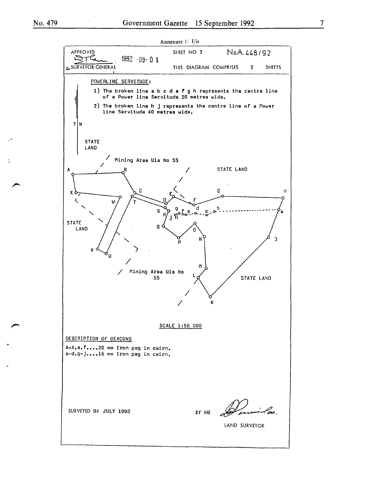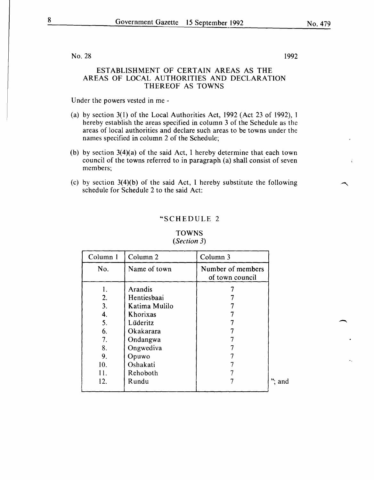No. 28 1992

# ESTABLISHMENT OF CERTAIN AREAS AS THE AREAS OF LOCAL AUTHORITIES AND DECLARATION THEREOF AS TOWNS

Under the powers vested in me -

- (a) by section 3(l) of the Local Authorities Act, 1992 (Act 23 of 1992), I hereby establish the areas specified in column 3 of the Schedule as the areas of local authorities and declare such areas to be towns under the names specified in column 2 of the Schedule;
- (b) by section 3(4)(a) of the said Act, I hereby determine that each town council of the towns referred to in paragraph (a) shall consist of seven members;
- (c) by section 3(4)(b) of the said Act, I hereby substitute the following schedule for Schedule 2 to the said Act:

# "SCHEDULE 2

| Column 1 | Column <sub>2</sub> | Column 3                             |           |
|----------|---------------------|--------------------------------------|-----------|
| No.      | Name of town        | Number of members<br>of town council |           |
| 1.       | Arandis             |                                      |           |
| 2.       | Hentiesbaai         |                                      |           |
| 3.       | Katima Mulilo       |                                      |           |
| 4.       | Khorixas            |                                      |           |
| 5.       | Lüderitz            |                                      |           |
| 6.       | Okakarara           |                                      |           |
| 7.       | Ondangwa            |                                      |           |
| 8.       | Ongwediva           |                                      |           |
| 9.       | Opuwo               |                                      |           |
| 10.      | Oshakati            |                                      |           |
| 11.      | Rehoboth            |                                      |           |
| 12.      | Rundu               |                                      | $"$ ; and |

# **TOWNS** *(Section 3)*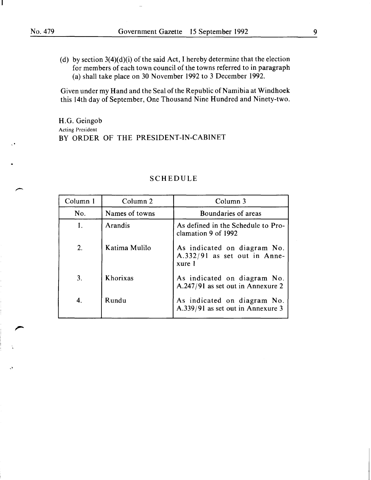(d) by section  $3(4)(d)(i)$  of the said Act, I hereby determine that the election for members of each town council of the towns referred to in paragraph (a) shall take place on 30 November 1992 to 3 December 1992.

Given under my Hand and the Seal of the Republic of Namibia at Windhoek this 14th day of September, One Thousand Nine Hundred and Ninety-two.

H.G. Geingob Acting President BY ORDER OF THE PRESIDENT-IN-CABINET

| Column 1 | Column 2       | Column 3                                                              |
|----------|----------------|-----------------------------------------------------------------------|
| No.      | Names of towns | Boundaries of areas                                                   |
| 1.       | Arandis        | As defined in the Schedule to Pro-<br>clamation 9 of 1992             |
| 2.       | Katima Mulilo  | As indicated on diagram No.<br>A.332/91 as set out in Anne-<br>xure 1 |
| 3.       | Khorixas       | As indicated on diagram No.<br>$A.247/91$ as set out in Annexure 2    |
|          | Rundu          | As indicated on diagram No.<br>A.339/91 as set out in Annexure 3      |

#### SCHEDULE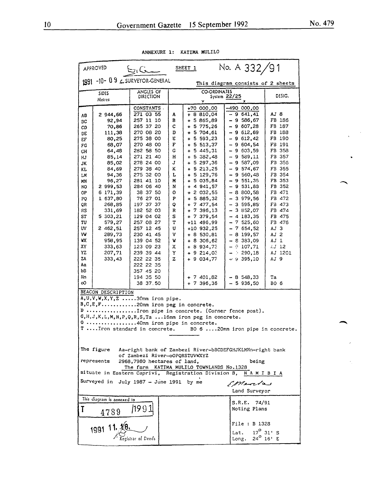| No. A 332/91<br>SHEET 1<br><b>APPROVED</b><br><u>سیمانیا</u>                                                                                                                                                                                                                         |                                                                                                                                                                                                                                                          |                                                                                                                                                                                                                                                                                                                                                                                      |                                                                                                                           |                                                                                                                                                                                                                                                                                                                                                                                                                      |                                                                                                                                                                                                                                                                                                                                                                                                          |                                                                                                                                                                                                                                                    |  |  |  |
|--------------------------------------------------------------------------------------------------------------------------------------------------------------------------------------------------------------------------------------------------------------------------------------|----------------------------------------------------------------------------------------------------------------------------------------------------------------------------------------------------------------------------------------------------------|--------------------------------------------------------------------------------------------------------------------------------------------------------------------------------------------------------------------------------------------------------------------------------------------------------------------------------------------------------------------------------------|---------------------------------------------------------------------------------------------------------------------------|----------------------------------------------------------------------------------------------------------------------------------------------------------------------------------------------------------------------------------------------------------------------------------------------------------------------------------------------------------------------------------------------------------------------|----------------------------------------------------------------------------------------------------------------------------------------------------------------------------------------------------------------------------------------------------------------------------------------------------------------------------------------------------------------------------------------------------------|----------------------------------------------------------------------------------------------------------------------------------------------------------------------------------------------------------------------------------------------------|--|--|--|
|                                                                                                                                                                                                                                                                                      | -10-09 CSURVEYOR-GENERAL<br>1991<br>This diagram consists of 2 sheets                                                                                                                                                                                    |                                                                                                                                                                                                                                                                                                                                                                                      |                                                                                                                           |                                                                                                                                                                                                                                                                                                                                                                                                                      |                                                                                                                                                                                                                                                                                                                                                                                                          |                                                                                                                                                                                                                                                    |  |  |  |
|                                                                                                                                                                                                                                                                                      | <b>SIDES</b><br>Meires                                                                                                                                                                                                                                   | ANGLES OF<br>DIRECTION                                                                                                                                                                                                                                                                                                                                                               |                                                                                                                           | <b>CO-ORDINATES</b><br>DESIG.<br>System 22/25<br>Y.                                                                                                                                                                                                                                                                                                                                                                  |                                                                                                                                                                                                                                                                                                                                                                                                          |                                                                                                                                                                                                                                                    |  |  |  |
| AΒ<br>ВC<br>CD<br>DE<br>ЕF<br>FG<br>GH<br>НJ<br>JK<br>KL.<br>LМ<br>ΜN<br>NO<br>0P<br>PQ<br>QR<br>RS<br>ST<br>TU<br>UV<br>VW<br>٧X<br>XY<br>YZ<br>ZA<br>Aa<br>bB<br>Nn                                                                                                                | 2 944,66<br>92,94<br>70,86<br>111,38<br>80,25<br>68,07<br>64,48<br>85,14<br>85,02<br>84,69<br>94,36<br>96,27<br>2 999,53<br>6 171,39<br>1 637,80<br>268,85<br>331,69<br>5 303,21<br>579,27<br>2 462,51<br>289,73<br>958,95<br>333,63<br>207,71<br>333,43 | CONSTANTS.<br>271 03 55<br>257 11 10<br>265 37 20<br>270 08 20<br>275 38 00<br>270 48 00<br>282 58 50<br>271 21 40<br>278 24 00<br>279 38 40<br>275 32 00<br>281 41 10<br>284 06 40<br>38 37 50<br>76 27 01<br>197 37 37<br>182 52 03<br>129 04 02<br>257 08 27<br>257 12 45<br>230 41 45<br>139 04 52<br>123 09 23<br>239 39 44<br>222 22 35<br>222 22 35<br>357 45 20<br>194 35 50 | A<br>в<br>c<br>D<br>Ε<br>F<br>G<br>н<br>J<br>κ<br>L<br>M<br>N<br>o<br>P<br>Q<br>R<br>s<br>т<br>U<br>٧<br>W<br>х<br>Y<br>z | +70 000,00<br>$+8810,04$<br>+ 5 865,89<br>$+ 5775,26$<br>5 704,61<br>$\ddotmark$<br>$+ 5593,23$<br>$+ 5 513.37$<br>+ 5 445,31<br>$+ 5 382,48$<br>+ 5 297,36<br>$+ 5 213,25$<br>$+ 5 129,76$<br>+ 5 035,84<br>$+ 4 941,57$<br>$+ 2032,55$<br>+ 5 885,32<br>+ 7 477,54<br>$+7396.13$<br>$+ 7379,54$<br>+11 496,99<br>+10 932.25<br>$+8530,81$<br>+ 8 306,62<br>$+8934,73$<br>$+9214,03$<br>+ 9 034,77<br>7 401,82<br>÷ | -490 000,00<br>- 9 641,41<br>$-9586,67$<br>- 9 607,28<br>$-9612.69$<br>$-9612,42$<br>$-9604.54$<br>$-9603,59$<br>$-9539,11$<br>$-9.587,09$<br>$-9574,67$<br>$-9560,48$<br>- 9 551,38<br>$-9531.88$<br>$-8800,58$<br>$-3979,56$<br>$-3595,85$<br>- 3 852,07<br>- 4 183,35<br>$-7525,60$<br>$-7654,52$<br>$-8$ 199,57<br>$-833,09$<br>$ 9$ 107,71<br>: 290,18<br>$\frac{1}{2}$<br>$-9395,10$<br>$-8548,33$ | AJ 8<br>FB 186<br>FB 187<br>FB 188<br>FB 190<br>FB 191<br>FB 358<br>FB 357<br>FB 356<br>FB 355<br>FB 354<br>FB 353<br>FB 352<br>FB 471<br>FB 472<br>FB 473<br>FB 474<br>FB 475<br>FB 476<br>AJ 3<br>AJ 2<br>AJ 1<br>AJ 12<br>AJ 1201<br>AJ 9<br>Ta |  |  |  |
| oO                                                                                                                                                                                                                                                                                   | BEACON DESCRIPTION                                                                                                                                                                                                                                       | 38 37.50<br>$A, U, V, W, X, Y, Z$ 30mm iron pipe.<br>$B,C,E,F$ 20mm iron peg in concrete.                                                                                                                                                                                                                                                                                            |                                                                                                                           | $+ 7396,36$                                                                                                                                                                                                                                                                                                                                                                                                          | $-5936,50$                                                                                                                                                                                                                                                                                                                                                                                               | BO 6                                                                                                                                                                                                                                               |  |  |  |
|                                                                                                                                                                                                                                                                                      | $\mathbb{D}$ Iron pipe in concrete. (Corner fence post).<br>G, H, J, K, L, M, N, P, Q, R, S, Ta  16mm iron peg in concrete.<br>0 40mm iron pipe in concrete.<br>T Iron standard in concrete.<br>BO 6 20mm iron pipe in concrete.                         |                                                                                                                                                                                                                                                                                                                                                                                      |                                                                                                                           |                                                                                                                                                                                                                                                                                                                                                                                                                      |                                                                                                                                                                                                                                                                                                                                                                                                          |                                                                                                                                                                                                                                                    |  |  |  |
| The figure<br>Aa-right bank of Zambezi River-bBCDEFGHJKLMNn-right bank<br>of Zambezi River-oOPQRSTUVWXYZ<br>represents<br>2968,7980 hectares of land.<br>being<br>The farm KATIMA MULILO TOWNLANDS No.1328<br>situate in Eastern Caprivi, Registration Division B,<br><b>NAMIBIA</b> |                                                                                                                                                                                                                                                          |                                                                                                                                                                                                                                                                                                                                                                                      |                                                                                                                           |                                                                                                                                                                                                                                                                                                                                                                                                                      |                                                                                                                                                                                                                                                                                                                                                                                                          |                                                                                                                                                                                                                                                    |  |  |  |
|                                                                                                                                                                                                                                                                                      | Surveyed in July 1987 - June 1991 by me<br>Emerica<br>Land Surveyor                                                                                                                                                                                      |                                                                                                                                                                                                                                                                                                                                                                                      |                                                                                                                           |                                                                                                                                                                                                                                                                                                                                                                                                                      |                                                                                                                                                                                                                                                                                                                                                                                                          |                                                                                                                                                                                                                                                    |  |  |  |
| T                                                                                                                                                                                                                                                                                    | This diagram is annexed to<br>4789                                                                                                                                                                                                                       |                                                                                                                                                                                                                                                                                                                                                                                      |                                                                                                                           |                                                                                                                                                                                                                                                                                                                                                                                                                      | S.R.E. 74/91<br>Noting Plans                                                                                                                                                                                                                                                                                                                                                                             |                                                                                                                                                                                                                                                    |  |  |  |
|                                                                                                                                                                                                                                                                                      | 11.46                                                                                                                                                                                                                                                    | <b>File : B 1328</b><br>1991<br>$17^{\circ}$ 31' S<br>Lat.<br>$24^{\circ}$ 16' E<br>istrar of Deeds<br>Long.                                                                                                                                                                                                                                                                         |                                                                                                                           |                                                                                                                                                                                                                                                                                                                                                                                                                      |                                                                                                                                                                                                                                                                                                                                                                                                          |                                                                                                                                                                                                                                                    |  |  |  |

ANNEXURE 1: KATIMA MULILO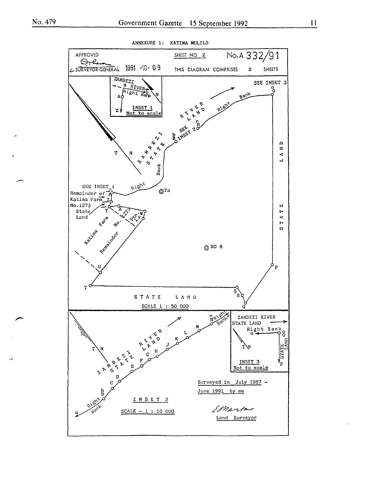

ANNEXURE 1: KATIMA MULILO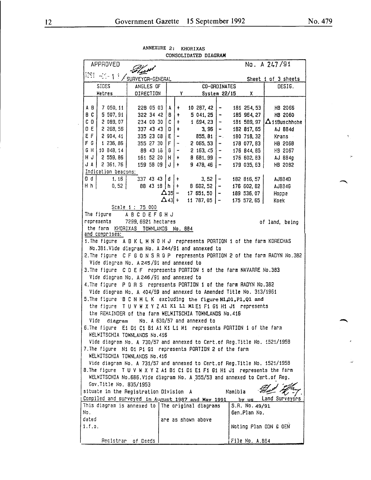| COUODITINIEN DIPAUNU |                                                                           |                                     |                            |                   |                          |  |                                |                              |         |                     |                                                                               |
|----------------------|---------------------------------------------------------------------------|-------------------------------------|----------------------------|-------------------|--------------------------|--|--------------------------------|------------------------------|---------|---------------------|-------------------------------------------------------------------------------|
|                      | No. A 247/91<br><b>APPROVED</b>                                           |                                     |                            |                   |                          |  |                                |                              |         |                     |                                                                               |
|                      | 1291 -01-11 / SURVEYOR-GENERAL                                            |                                     |                            |                   |                          |  |                                |                              |         | Sheet 1 of 3 sheets |                                                                               |
|                      | <b>SIDES</b>                                                              | ANGLES OF                           |                            | CO-ORDINATES      |                          |  |                                |                              | DESIG.  |                     |                                                                               |
|                      | Metres                                                                    | DIRECTION                           |                            | System 22/15<br>Y |                          |  | X.                             |                              |         |                     |                                                                               |
|                      |                                                                           |                                     |                            |                   |                          |  |                                |                              |         |                     |                                                                               |
| A B                  | 7 050, 11                                                                 |                                     | 228 05 03 A                |                   | ÷                        |  | 10 287, 42                     | $\qquad \qquad \blacksquare$ |         | 181 254, 53         | HB 2066                                                                       |
| B C                  | 5 507, 91                                                                 |                                     | 322 34 42                  | 18 I +            |                          |  | $5041, 25$ -                   |                              |         | 185 964, 27         | HB 2060                                                                       |
| CD.                  | 2 089,07                                                                  |                                     | 2340030 C                  |                   | $+$                      |  | $1694, 23$ -                   |                              |         | 181 589, 97         | $\Delta$ 11Buschhohe                                                          |
| 0 E                  | 2 268, 56                                                                 |                                     | 337 43 43 $ D $            |                   | $\ddot{+}$               |  | 3, 96                          |                              |         | 182 817, 65         | AJ 884d                                                                       |
| EF.                  |                                                                           |                                     |                            |                   | $\overline{\phantom{0}}$ |  |                                | $\blacksquare$               |         |                     |                                                                               |
| F G                  | 2 904, 41                                                                 |                                     | 335 23 08 E                |                   |                          |  | 855, 81                        | $\overline{\phantom{m}}$ .   |         | 180 718, 32         | Krans                                                                         |
|                      | 1 236, 86                                                                 |                                     | 355 27 30 F                |                   | $\overline{\phantom{a}}$ |  | $2055, 53$   -                 |                              |         | 178 077, 83         | HB 2068                                                                       |
| G H                  | 10 848, 14                                                                |                                     | $8943 i\overline{6}  G $ - |                   |                          |  | $2$ 163, 45   -                |                              |         | 176 844, 85         | H3 2067                                                                       |
| HJ                   | 2559,86                                                                   |                                     | 161 52 20   H   +          |                   |                          |  | $8681, 99$ -                   |                              |         | 176 602, 83         | AJ 8B4g                                                                       |
| J A                  | 2 361, 76                                                                 |                                     | 159 58 09 $J +$            |                   |                          |  | $9\;478,46$ -                  |                              |         | 179 035, 63         | HB 2082                                                                       |
|                      | Indication beacons:                                                       |                                     |                            |                   |                          |  |                                |                              |         |                     |                                                                               |
| O d                  | 1, 16                                                                     |                                     | $337$ 43 43 d +            |                   |                          |  | 3, 52                          |                              |         | 182 816, 57         | AJ884D                                                                        |
| H h                  | 0, 52                                                                     |                                     |                            |                   |                          |  | 88 43 18   h   + 8 682, 52   - |                              |         | 176 602, 62         | AJ834G                                                                        |
|                      |                                                                           |                                     |                            |                   |                          |  | $\Delta$ 35 - 17 651, 50   -   |                              |         | 189 536, 07         | Hoppe                                                                         |
|                      |                                                                           |                                     |                            | $\Delta$ 43 +     |                          |  | $11\,787,05$   -               |                              |         | $175$ 572, 65       | Koek                                                                          |
|                      |                                                                           | Scale 1 : 75 000                    |                            |                   |                          |  |                                |                              |         |                     |                                                                               |
|                      | The figure                                                                | <b>ABCDEFGHJ</b>                    |                            |                   |                          |  |                                |                              |         |                     |                                                                               |
|                      | represents                                                                | 7299.6921 hectares                  |                            |                   |                          |  |                                |                              |         |                     | of land, being                                                                |
|                      | the farm KHORIXAS TOWNLANDS No. 884                                       |                                     |                            |                   |                          |  |                                |                              |         |                     |                                                                               |
|                      | and comprises:                                                            |                                     |                            |                   |                          |  |                                |                              |         |                     |                                                                               |
|                      | 1. The figure A B K L M N O H J represents PORTION 1 of the farm KORECHAS |                                     |                            |                   |                          |  |                                |                              |         |                     |                                                                               |
|                      | No.381.Vide diagram No. A 244/91 and annexed to                           |                                     |                            |                   |                          |  |                                |                              |         |                     |                                                                               |
|                      |                                                                           |                                     |                            |                   |                          |  |                                |                              |         |                     | 2. The figure C F G O N S R Q P represents PORTION 2 of the farm RADYN No.382 |
|                      | Vide diagram No. A 245/91 and annexed to                                  |                                     |                            |                   |                          |  |                                |                              |         |                     |                                                                               |
|                      | 3. The figure C D E F represents PORTION 1 of the farm NAVARRE No. 383    |                                     |                            |                   |                          |  |                                |                              |         |                     |                                                                               |
|                      | Vide diagram No. A 246/91 and annexed to                                  |                                     |                            |                   |                          |  |                                |                              |         |                     |                                                                               |
|                      | 4. The figure P Q R S represents PORTION 1 of the farm RADYN No. 382      |                                     |                            |                   |                          |  |                                |                              |         |                     |                                                                               |
|                      | Vide diagram No. A 404/59 and annexed to Amended Title No. 313/1961       |                                     |                            |                   |                          |  |                                |                              |         |                     |                                                                               |
|                      | 5. The figure B C N M L K excluding the figure N1, 01, P1, Q1 and         |                                     |                            |                   |                          |  |                                |                              |         |                     |                                                                               |
|                      | the figure TUVWXYZA1 K1 L1 M1 E1 F1 G1 H1 J1 represents                   |                                     |                            |                   |                          |  |                                |                              |         |                     |                                                                               |
|                      | the REMAINDER of the farm WELWITSCHIA TOWNLANDS No.416                    |                                     |                            |                   |                          |  |                                |                              |         |                     |                                                                               |
|                      | Vide                                                                      | diagram No. A 630/57 and annexed to |                            |                   |                          |  |                                |                              |         |                     |                                                                               |
|                      | 6. The figure E1 D1 C1 B1 A1 K1 L1 M1 represents PORTION 1 of the farm    |                                     |                            |                   |                          |  |                                |                              |         |                     |                                                                               |
|                      | WELWITSCHIA TOWNLANDS No.416                                              |                                     |                            |                   |                          |  |                                |                              |         |                     |                                                                               |
|                      | Vide diagram No. A 730/57 and annexed to Cert.of Reg. Title No. 1521/1958 |                                     |                            |                   |                          |  |                                |                              |         |                     |                                                                               |
|                      | 7.The figure N1 01 P1 G1 represents PORTION 2 of the farm                 |                                     |                            |                   |                          |  |                                |                              |         |                     |                                                                               |
|                      | WELWITSCHIA TOWNLANDS No.416                                              |                                     |                            |                   |                          |  |                                |                              |         |                     |                                                                               |
|                      | Vide diagram No. A 731/57 and annexed to Cert.of Reg. Title No. 1521/1958 |                                     |                            |                   |                          |  |                                |                              |         |                     |                                                                               |
|                      |                                                                           |                                     |                            |                   |                          |  |                                |                              |         |                     | B.The figure T U V W X Y Z A1 B1 C1 D1 E1 F1 G1 H1 J1 represents the farm     |
|                      | WELWITSCHIA No.666.Vide diagram No. A 355/53 and annexed to Cert.of Reg.  |                                     |                            |                   |                          |  |                                |                              |         |                     |                                                                               |
|                      | Gov. Title No. 835/1953                                                   |                                     |                            |                   |                          |  |                                |                              |         |                     |                                                                               |
|                      | situate in the Registration Division A                                    |                                     |                            |                   |                          |  |                                |                              | Namibia |                     |                                                                               |
|                      | Compiled and surveyed in August 1987 and May 1991                         |                                     |                            |                   |                          |  |                                |                              |         | $by$ $us$           | Land Surveyors                                                                |
|                      | This diagram is annexed to  The original diagrams                         |                                     |                            |                   |                          |  |                                |                              |         | S.R. No. 49/91      |                                                                               |
| No.                  |                                                                           |                                     |                            |                   |                          |  |                                |                              |         | Gen.Plan No.        |                                                                               |
| dated                |                                                                           |                                     |                            |                   |                          |  | are as shown above             |                              |         |                     |                                                                               |
| i.f.o.               |                                                                           |                                     |                            |                   |                          |  |                                |                              |         |                     | Noting Plan ODN & OEN                                                         |
|                      |                                                                           |                                     |                            |                   |                          |  |                                |                              |         |                     |                                                                               |
|                      | Registrar of Deeds                                                        |                                     |                            |                   |                          |  |                                |                              |         | File No. A.884      |                                                                               |

ANNEXURE 2: KHORIXAS CONSOLIDATED DIACRAM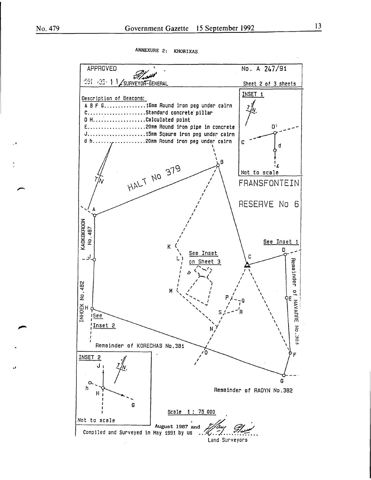ANNEXURE 2: KHORIXAS

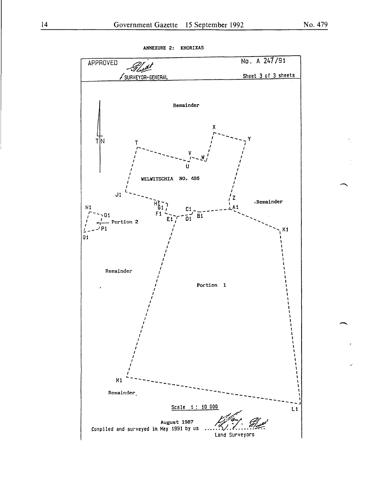

ANNEXURE 2: KHORIXAS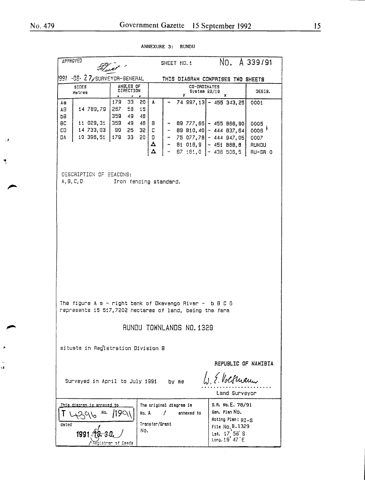$\mathcal{A}$ 

 $\tilde{\mathbf{y}}$ 

š,

|                                                                                                                                                                                                                                                           | <b>APPROVED</b>                                                 | Fluxt '                                                                                    |                                                        | No. A 339/91<br>SHEET NO.1                                                                                           |                                                                                 |                                                        |  |  |  |
|-----------------------------------------------------------------------------------------------------------------------------------------------------------------------------------------------------------------------------------------------------------|-----------------------------------------------------------------|--------------------------------------------------------------------------------------------|--------------------------------------------------------|----------------------------------------------------------------------------------------------------------------------|---------------------------------------------------------------------------------|--------------------------------------------------------|--|--|--|
|                                                                                                                                                                                                                                                           | 991 -08- 27/surveyor-general                                    |                                                                                            |                                                        | THIS DIAGRAM COMPRISES TWO SHEETS                                                                                    |                                                                                 |                                                        |  |  |  |
|                                                                                                                                                                                                                                                           | <b>SIDES</b><br>Metres                                          | ANGLES OF<br>DIRECTION                                                                     |                                                        | CO-ORDINATES<br>DESIG.<br>System 22/19<br>У.<br>x                                                                    |                                                                                 |                                                        |  |  |  |
| AВ<br>AB.<br>bВ<br><b>BC</b><br>CD.<br><b>DA</b>                                                                                                                                                                                                          | 14 789,79<br>11 029, 31<br>14 733,03<br>10 396,51               | 179<br>33<br>50<br>267<br>58<br>15<br>359<br>49<br>48<br>359 49<br>- 90<br>25<br>33<br>179 | A<br>48<br>8<br>35 C<br>20  <br>$\mathbf{D}$<br>Δ<br>Δ | $-$ 89 777,65 $-$ 455 866,90<br>$-$ 89 810, 40 $-$ 444 837, 64<br>$-75077,78$ - 444 947,05                           | 74 997, 13 - 455 343, 25<br>$81\,016,9$ - 451 888,8<br>67 181, 0 $-$ 436 506, 5 | 0001<br>0005<br>$0006$ $7$<br>0007<br>AUNDU<br>RU-GR 0 |  |  |  |
|                                                                                                                                                                                                                                                           | DESCRIPTION OF BEACONS:<br>A, 9, C, D<br>Iron fencing standard. |                                                                                            |                                                        |                                                                                                                      |                                                                                 |                                                        |  |  |  |
|                                                                                                                                                                                                                                                           |                                                                 |                                                                                            |                                                        | The figure A $a - right$ bank of Okavango River - b B C D<br>represents 15 517,7202 hectares of land, being the farm |                                                                                 |                                                        |  |  |  |
|                                                                                                                                                                                                                                                           |                                                                 |                                                                                            |                                                        | RUNDU TOWNLANDS NO.1329                                                                                              |                                                                                 |                                                        |  |  |  |
| situate in Registration Division B                                                                                                                                                                                                                        |                                                                 |                                                                                            |                                                        |                                                                                                                      |                                                                                 |                                                        |  |  |  |
| REPUBLIC OF NAMIBIA<br>1. E. Volkmann<br>Surveyed in April to July 1991<br>by me<br>Land Surveyor                                                                                                                                                         |                                                                 |                                                                                            |                                                        |                                                                                                                      |                                                                                 |                                                        |  |  |  |
| S.R. No. E. 78/91<br>The original diagram is<br><u>This diacram is annexed to</u><br>Gen. Plan No.<br>No. A<br>annexed to<br>N٥.<br>Noting Plan: RI-S<br>Transfer/Srant<br>dated<br>File No. B. 1329<br>No.<br>1991<br>Lst. 17 56 S<br>Long, $19'$ 47 $E$ |                                                                 |                                                                                            |                                                        |                                                                                                                      |                                                                                 |                                                        |  |  |  |

ANNEXURE 3: RUNDU